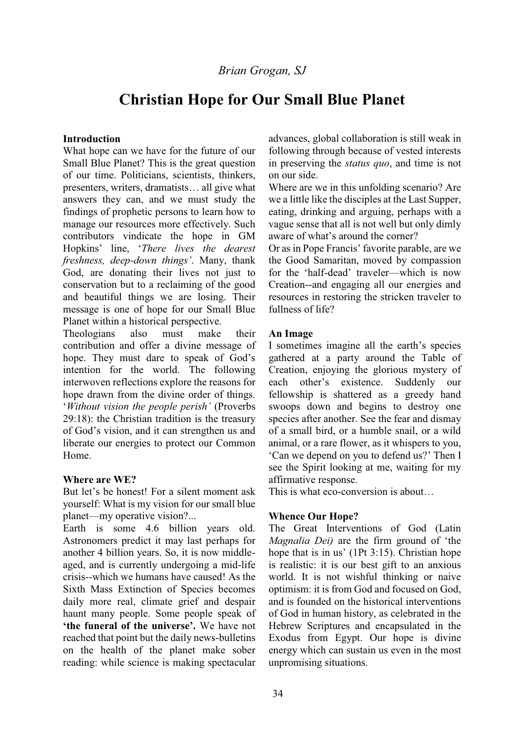# *Brian Grogan, SJ*

# **Christian Hope for Our Small Blue Planet**

#### **Introduction**

What hope can we have for the future of our Small Blue Planet? This is the great question of our time. Politicians, scientists, thinkers, presenters, writers, dramatists... all give what answers they can, and we must study the findings of prophetic persons to learn how to manage our resources more effectively. Such contributors vindicate the hope in GM Hopkins' line, 'There lives the dearest *freshness, deep-down things'*. Many, thank God, are donating their lives not just to conservation but to a reclaiming of the good and beautiful things we are losing. Their message is one of hope for our Small Blue Planet within a historical perspective.

Theologians also must make their contribution and offer a divine message of hope. They must dare to speak of God's intention for the world. The following interwoven reflections explore the reasons for hope drawn from the divine order of things. *'Without vision the people perish'* (Proverbs 29:18): the Christian tradition is the treasury of God's vision, and it can strengthen us and liberate our energies to protect our Common Home.

#### **Where are WE?**

But let's be honest! For a silent moment ask yourself: What is my vision for our small blue planet—my operative vision?...

Earth is some 4.6 billion years old. Astronomers predict it may last perhaps for another 4 billion years. So, it is now middleaged, and is currently undergoing a mid-life crisis--which we humans have caused! As the Sixth Mass Extinction of Species becomes daily more real, climate grief and despair haunt many people. Some people speak of **the funeral of the universe'.** We have not reached that point but the daily news-bulletins on the health of the planet make sober reading: while science is making spectacular advances, global collaboration is still weak in following through because of vested interests in preserving the *status quo*, and time is not on our side.

Where are we in this unfolding scenario? Are we a little like the disciples at the Last Supper, eating, drinking and arguing, perhaps with a vague sense that all is not well but only dimly aware of what's around the corner?

Or as in Pope Francis' favorite parable, are we the Good Samaritan, moved by compassion for the 'half-dead' traveler—which is now Creation--and engaging all our energies and resources in restoring the stricken traveler to fullness of life?

#### **An Image**

I sometimes imagine all the earth's species gathered at a party around the Table of Creation, enjoying the glorious mystery of each other's existence. Suddenly our fellowship is shattered as a greedy hand swoops down and begins to destroy one species after another. See the fear and dismay of a small bird, or a humble snail, or a wild animal, or a rare flower, as it whispers to you, 'Can we depend on you to defend us?' Then I see the Spirit looking at me, waiting for my affirmative response.

This is what eco-conversion is about...

## **Whence Our Hope?**

The Great Interventions of God (Latin *Magnalia Dei)* are the firm ground of 'the hope that is in us' (1Pt  $3:15$ ). Christian hope is realistic: it is our best gift to an anxious world. It is not wishful thinking or naive optimism: it is from God and focused on God, and is founded on the historical interventions of God in human history, as celebrated in the Hebrew Scriptures and encapsulated in the Exodus from Egypt. Our hope is divine energy which can sustain us even in the most unpromising situations.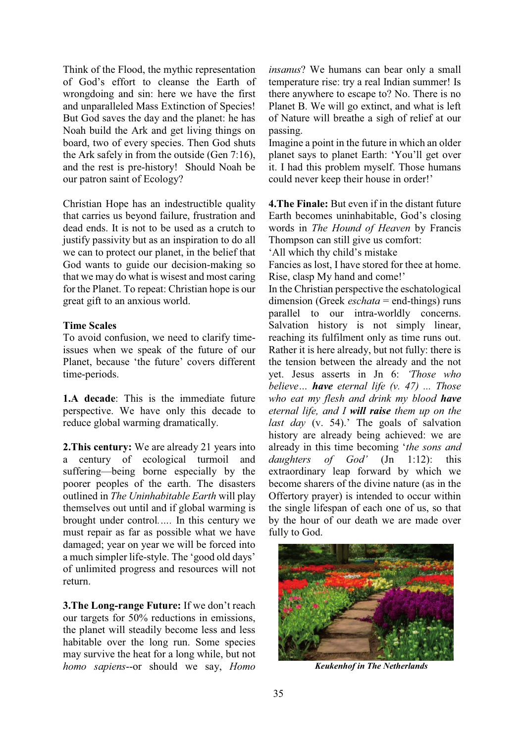Think of the Flood, the mythic representation of God's effort to cleanse the Earth of wrongdoing and sin: here we have the first and unparalleled Mass Extinction of Species! But God saves the day and the planet: he has Noah build the Ark and get living things on board, two of every species. Then God shuts the Ark safely in from the outside (Gen 7:16), and the rest is pre-history! Should Noah be our patron saint of Ecology?

Christian Hope has an indestructible quality that carries us beyond failure, frustration and dead ends. It is not to be used as a crutch to justify passivity but as an inspiration to do all we can to protect our planet, in the belief that God wants to guide our decision-making so that we may do what is wisest and most caring for the Planet. To repeat: Christian hope is our great gift to an anxious world.

## **Time Scales**

To avoid confusion, we need to clarify timeissues when we speak of the future of our Planet, because 'the future' covers different time-periods.

**1.A decade**: This is the immediate future perspective. We have only this decade to reduce global warming dramatically.

**2.This century:** We are already 21 years into a century of ecological turmoil and suffering—being borne especially by the poorer peoples of the earth. The disasters outlined in *The Uninhabitable Earth* will play themselves out until and if global warming is brought under control..... In this century we must repair as far as possible what we have damaged; year on year we will be forced into a much simpler life-style. The 'good old days' of unlimited progress and resources will not return.

**3. The Long-range Future:** If we don't reach our targets for 50% reductions in emissions, the planet will steadily become less and less habitable over the long run. Some species may survive the heat for a long while, but not *homo sapiens*--or should we say, *Homo* 

*insanus*? We humans can bear only a small temperature rise: try a real Indian summer! Is there anywhere to escape to? No. There is no Planet B. We will go extinct, and what is left of Nature will breathe a sigh of relief at our passing.

Imagine a point in the future in which an older planet says to planet Earth: 'You'll get over it. I had this problem myself. Those humans could never keep their house in order!'

**4.The Finale:** But even if in the distant future Earth becomes uninhabitable, God's closing words in *The Hound of Heaven* by Francis Thompson can still give us comfort:

All which thy child's mistake

Fancies as lost, I have stored for thee at home. Rise, clasp My hand and come!'

In the Christian perspective the eschatological dimension (Greek *eschata* = end-things) runs parallel to our intra-worldly concerns. Salvation history is not simply linear, reaching its fulfilment only as time runs out. Rather it is here already, but not fully: there is the tension between the already and the not vet. Jesus asserts in Jn 6: *Those who believe... have eternal life (v. 47) ... Those who eat my flesh and drink my blood have eternal life, and I will raise them up on the last day* (v. 54).' The goals of salvation history are already being achieved: we are already in this time becoming 'the sons and *daughters of God'* (Jn 1:12): this extraordinary leap forward by which we become sharers of the divine nature (as in the Offertory prayer) is intended to occur within the single lifespan of each one of us, so that by the hour of our death we are made over fully to God.



 *Keukenhof in The Netherlands*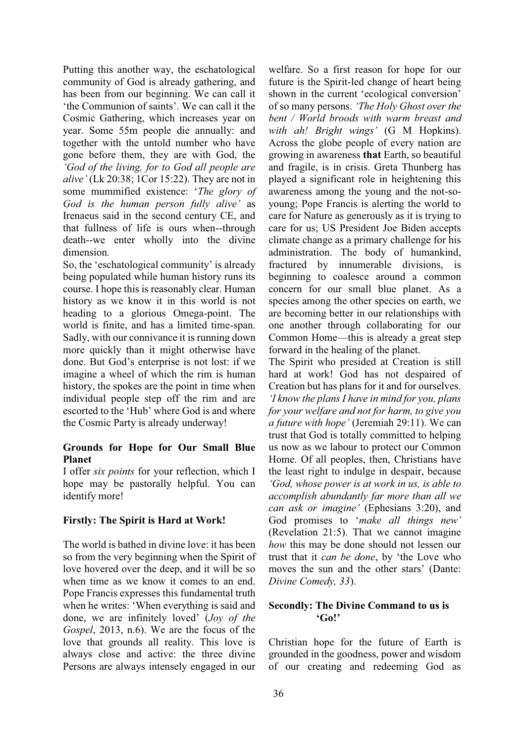Putting this another way, the eschatological community of God is already gathering, and has been from our beginning. We can call it the Communion of saints'. We can call it the Cosmic Gathering, which increases year on year. Some 55m people die annually: and together with the untold number who have gone before them, they are with God, the *'God of the living, for to God all people are alive'* (Lk 20:38; 1Cor 15:22). They are not in some mummified existence: 'The glory of *God is the human person fully alive'* as Irenaeus said in the second century CE, and that fullness of life is ours when--through death--we enter wholly into the divine dimension.

So, the 'eschatological community' is already being populated while human history runs its course. I hope this is reasonably clear. Human history as we know it in this world is not heading to a glorious Omega-point. The world is finite, and has a limited time-span. Sadly, with our connivance it is running down more quickly than it might otherwise have done. But God's enterprise is not lost: if we imagine a wheel of which the rim is human history, the spokes are the point in time when individual people step off the rim and are escorted to the 'Hub' where God is and where the Cosmic Party is already underway!

# **Grounds for Hope for Our Small Blue Planet**

I offer *six points* for your reflection, which I hope may be pastorally helpful. You can identify more!

# **Firstly: The Spirit is Hard at Work!**

The world is bathed in divine love: it has been so from the very beginning when the Spirit of love hovered over the deep, and it will be so when time as we know it comes to an end. Pope Francis expresses this fundamental truth when he writes: 'When everything is said and done, we are infinitely loved' (*Joy of the Gospel*, 2013, n.6). We are the focus of the love that grounds all reality. This love is always close and active: the three divine Persons are always intensely engaged in our welfare. So a first reason for hope for our future is the Spirit-led change of heart being shown in the current 'ecological conversion' of so many persons. *The Holy Ghost over the bent / World broods with warm breast and with ah! Bright wings'* (G M Hopkins). Across the globe people of every nation are growing in awareness **that** Earth, so beautiful and fragile, is in crisis. Greta Thunberg has played a significant role in heightening this awareness among the young and the not-soyoung; Pope Francis is alerting the world to care for Nature as generously as it is trying to care for us; US President Joe Biden accepts climate change as a primary challenge for his administration. The body of humankind, fractured by innumerable divisions, is beginning to coalesce around a common concern for our small blue planet. As a species among the other species on earth, we are becoming better in our relationships with one another through collaborating for our Common Home—this is already a great step forward in the healing of the planet.

The Spirit who presided at Creation is still hard at work! God has not despaired of Creation but has plans for it and for ourselves. *I* know the plans I have in mind for you, plans *for your welfare and not for harm, to give you a future with hope'* (Jeremiah 29:11). We can trust that God is totally committed to helping us now as we labour to protect our Common Home. Of all peoples, then, Christians have the least right to indulge in despair, because *'God, whose power is at work in us, is able to accomplish abundantly far more than all we can ask or imagine'* (Ephesians 3:20), and God promises to 'make all things new' (Revelation 21:5). That we cannot imagine *how* this may be done should not lessen our trust that it *can be done*, by 'the Love who moves the sun and the other stars' (Dante: *Divine Comedy, 33*).

## **Secondly: The Divine Command to us is**   $G_0$ !

Christian hope for the future of Earth is grounded in the goodness, power and wisdom of our creating and redeeming God as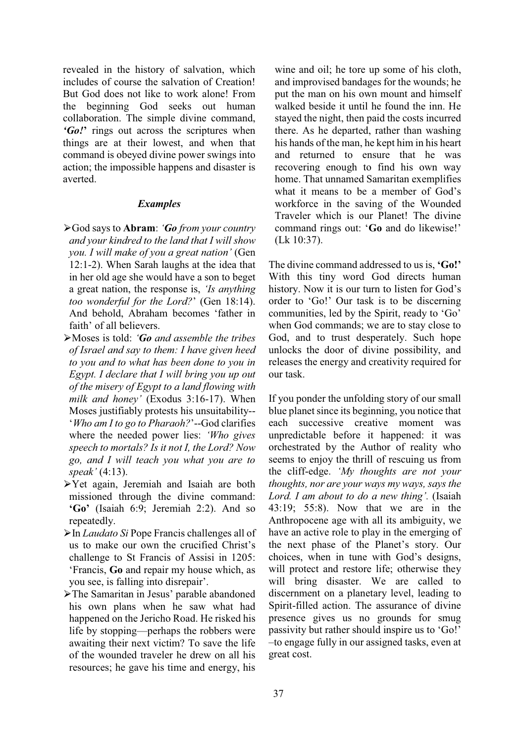revealed in the history of salvation, which includes of course the salvation of Creation! But God does not like to work alone! From the beginning God seeks out human collaboration. The simple divine command, *'Go!'* rings out across the scriptures when things are at their lowest, and when that command is obeyed divine power swings into action; the impossible happens and disaster is averted.

#### *Examples*

- ཙ God says to **Abram**: *µGo from your country and your kindred to the land that I will show you. I will make of you a great nation'* (Gen 12:1-2). When Sarah laughs at the idea that in her old age she would have a son to beget a great nation, the response is, *'Is anything too wonderful for the Lord?'* (Gen 18:14). And behold, Abraham becomes 'father in faith' of all believers
- ཙ Moses is told: *µGo and assemble the tribes of Israel and say to them: I have given heed to you and to what has been done to you in Egypt. I declare that I will bring you up out of the misery of Egypt to a land flowing with milk and honey'* (Exodus 3:16-17). When Moses justifiably protests his unsuitability-- *<u><sup>'</sup>Who am I to go to Pharaoh?'</u>*-God clarifies where the needed power lies: 'Who gives' *speech to mortals? Is it not I, the Lord? Now go, and I will teach you what you are to speak'* (4:13).
- ཙ Yet again, Jeremiah and Isaiah are both missioned through the divine command: **µ\*R¶** (Isaiah 6:9; Jeremiah 2:2). And so repeatedly.
- ཙ In *Laudato Si* Pope Francis challenges all of us to make our own the crucified Christ's challenge to St Francis of Assisi in 1205: 'Francis, Go and repair my house which, as you see, is falling into disrepair'.
- >The Samaritan in Jesus' parable abandoned his own plans when he saw what had happened on the Jericho Road. He risked his life by stopping—perhaps the robbers were awaiting their next victim? To save the life of the wounded traveler he drew on all his resources; he gave his time and energy, his

wine and oil; he tore up some of his cloth, and improvised bandages for the wounds; he put the man on his own mount and himself walked beside it until he found the inn. He stayed the night, then paid the costs incurred there. As he departed, rather than washing his hands of the man, he kept him in his heart and returned to ensure that he was recovering enough to find his own way home. That unnamed Samaritan exemplifies what it means to be a member of God's workforce in the saving of the Wounded Traveler which is our Planet! The divine command rings out: 'Go and do likewise!' (Lk 10:37).

The divine command addressed to us is, *Go!* With this tiny word God directs human history. Now it is our turn to listen for God's order to 'Go!' Our task is to be discerning communities, led by the Spirit, ready to 'Go' when God commands; we are to stay close to God, and to trust desperately. Such hope unlocks the door of divine possibility, and releases the energy and creativity required for our task.

If you ponder the unfolding story of our small blue planet since its beginning, you notice that each successive creative moment was unpredictable before it happened: it was orchestrated by the Author of reality who seems to enjoy the thrill of rescuing us from the cliff-edge. 'My thoughts are not your *thoughts, nor are your ways my ways, says the Lord. I am about to do a new thing'.* (Isaiah 43:19; 55:8). Now that we are in the Anthropocene age with all its ambiguity, we have an active role to play in the emerging of the next phase of the Planet's story. Our choices, when in tune with God's designs, will protect and restore life; otherwise they will bring disaster. We are called to discernment on a planetary level, leading to Spirit-filled action. The assurance of divine presence gives us no grounds for smug passivity but rather should inspire us to 'Go!' ±to engage fully in our assigned tasks, even at great cost.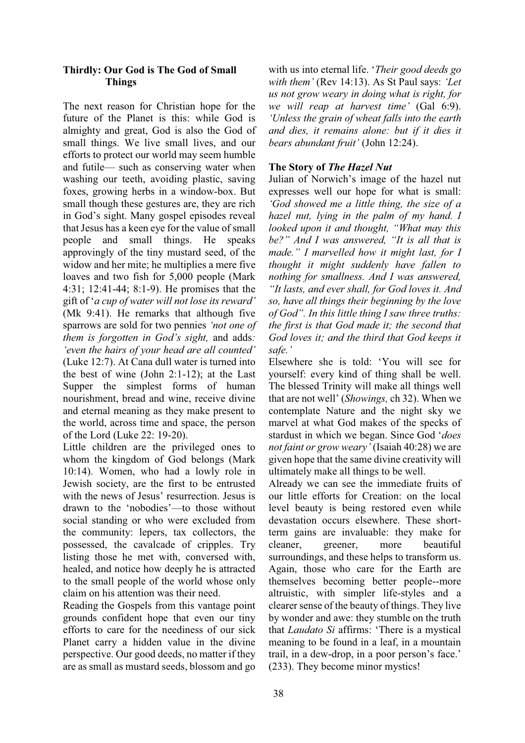# **Thirdly: Our God is The God of Small Things**

The next reason for Christian hope for the future of the Planet is this: while God is almighty and great, God is also the God of small things. We live small lives, and our efforts to protect our world may seem humble and futile— such as conserving water when washing our teeth, avoiding plastic, saving foxes, growing herbs in a window-box. But small though these gestures are, they are rich in God's sight. Many gospel episodes reveal that Jesus has a keen eye for the value of small people and small things. He speaks approvingly of the tiny mustard seed, of the widow and her mite; he multiplies a mere five loaves and two fish for 5,000 people (Mark 4:31; 12:41-44; 8:1-9). He promises that the gift of '*a cup of water will not lose its reward*' (Mk 9:41). He remarks that although five sparrows are sold for two pennies *'not one of them is forgotten in God's sight, and adds: lieven the hairs of your head are all counted'* (Luke 12:7). At Cana dull water is turned into the best of wine (John 2:1-12); at the Last Supper the simplest forms of human nourishment, bread and wine, receive divine and eternal meaning as they make present to the world, across time and space, the person of the Lord (Luke 22: 19-20).

Little children are the privileged ones to whom the kingdom of God belongs (Mark 10:14). Women, who had a lowly role in Jewish society, are the first to be entrusted with the news of Jesus' resurrection. Jesus is drawn to the 'nobodies'—to those without social standing or who were excluded from the community: lepers, tax collectors, the possessed, the cavalcade of cripples. Try listing those he met with, conversed with, healed, and notice how deeply he is attracted to the small people of the world whose only claim on his attention was their need.

Reading the Gospels from this vantage point grounds confident hope that even our tiny efforts to care for the neediness of our sick Planet carry a hidden value in the divine perspective. Our good deeds, no matter if they are as small as mustard seeds, blossom and go with us into eternal life. 'Their good deeds go *with them'* (Rev 14:13). As St Paul says: 'Let *us not grow weary in doing what is right, for we will reap at harvest time'* (Gal 6:9). *Unless the grain of wheat falls into the earth and dies, it remains alone: but if it dies it bears abundant fruit'* (John 12:24).

# **The Story of** *The Hazel Nut*

Julian of Norwich's image of the hazel nut expresses well our hope for what is small: *'God showed me a little thing, the size of a hazel nut, lying in the palm of my hand. I looked upon it and thought, "What may this be?"* And I was answered, "It is all that is *PDGH´ , PDUYHOOHG KRZ LW PLJKW ODVW IRU , thought it might suddenly have fallen to nothing for smallness. And I was answered, a*, *Ht lasts, and ever shall, for God loves it. And so, have all things their beginning by the love of God". In this little thing I saw three truths: the first is that God made it; the second that God loves it; and the third that God keeps it safe.*'

Elsewhere she is told: 'You will see for yourself: every kind of thing shall be well. The blessed Trinity will make all things well that are not well' (*Showings*, ch 32). When we contemplate Nature and the night sky we marvel at what God makes of the specks of stardust in which we began. Since God '*does not faint or grow weary'* (Isaiah 40:28) we are given hope that the same divine creativity will ultimately make all things to be well.

Already we can see the immediate fruits of our little efforts for Creation: on the local level beauty is being restored even while devastation occurs elsewhere. These shortterm gains are invaluable: they make for cleaner, greener, more beautiful surroundings, and these helps to transform us. Again, those who care for the Earth are themselves becoming better people--more altruistic, with simpler life-styles and a clearer sense of the beauty of things. They live by wonder and awe: they stumble on the truth that *Laudato Si* affirms: 'There is a mystical meaning to be found in a leaf, in a mountain trail, in a dew-drop, in a poor person's face.' (233). They become minor mystics!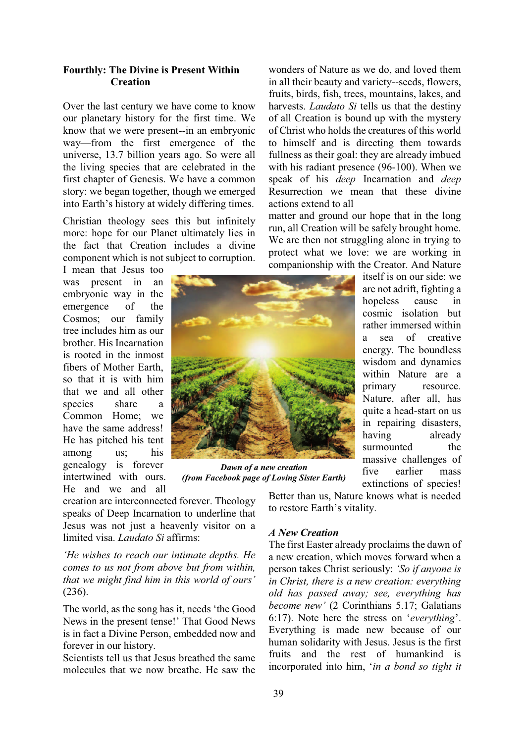#### **Fourthly: The Divine is Present Within Creation**

Over the last century we have come to know our planetary history for the first time. We know that we were present--in an embryonic way—from the first emergence of the universe, 13.7 billion years ago. So were all the living species that are celebrated in the first chapter of Genesis. We have a common story: we began together, though we emerged into Earth's history at widely differing times.

Christian theology sees this but infinitely more: hope for our Planet ultimately lies in the fact that Creation includes a divine component which is not subject to corruption.

I mean that Jesus too was present in an embryonic way in the emergence of the Cosmos; our family tree includes him as our brother. His Incarnation is rooted in the inmost fibers of Mother Earth, so that it is with him that we and all other species share a Common Home; we have the same address! He has pitched his tent among us; his genealogy is forever intertwined with ours. He and we and all



*Dawn of a new creation (from Facebook page of Loving Sister Earth)* 

creation are interconnected forever. Theology speaks of Deep Incarnation to underline that Jesus was not just a heavenly visitor on a limited visa. *Laudato Si* affirms:

*He wishes to reach our intimate depths. He comes to us not from above but from within, that we might find him in this world of ours'* (236).

The world, as the song has it, needs 'the Good News in the present tense!' That Good News is in fact a Divine Person, embedded now and forever in our history.

Scientists tell us that Jesus breathed the same molecules that we now breathe. He saw the wonders of Nature as we do, and loved them in all their beauty and variety--seeds, flowers, fruits, birds, fish, trees, mountains, lakes, and harvests. *Laudato Si* tells us that the destiny of all Creation is bound up with the mystery of Christ who holds the creatures of this world to himself and is directing them towards fullness as their goal: they are already imbued with his radiant presence (96-100). When we speak of his *deep* Incarnation and *deep* Resurrection we mean that these divine actions extend to all

matter and ground our hope that in the long run, all Creation will be safely brought home. We are then not struggling alone in trying to protect what we love: we are working in companionship with the Creator. And Nature

> itself is on our side: we are not adrift, fighting a hopeless cause in cosmic isolation but rather immersed within a sea of creative energy. The boundless wisdom and dynamics within Nature are a primary resource. Nature, after all, has quite a head-start on us in repairing disasters, having already surmounted the massive challenges of five earlier mass extinctions of species!

Better than us, Nature knows what is needed to restore Earth's vitality.

#### *A New Creation*

The first Easter already proclaims the dawn of a new creation, which moves forward when a person takes Christ seriously: *'So if anyone is in Christ, there is a new creation: everything old has passed away; see, everything has become new'* (2 Corinthians 5.17; Galatians 6:17). Note here the stress on '*everything*'. Everything is made new because of our human solidarity with Jesus. Jesus is the first fruits and the rest of humankind is incorporated into him, 'in a bond so tight it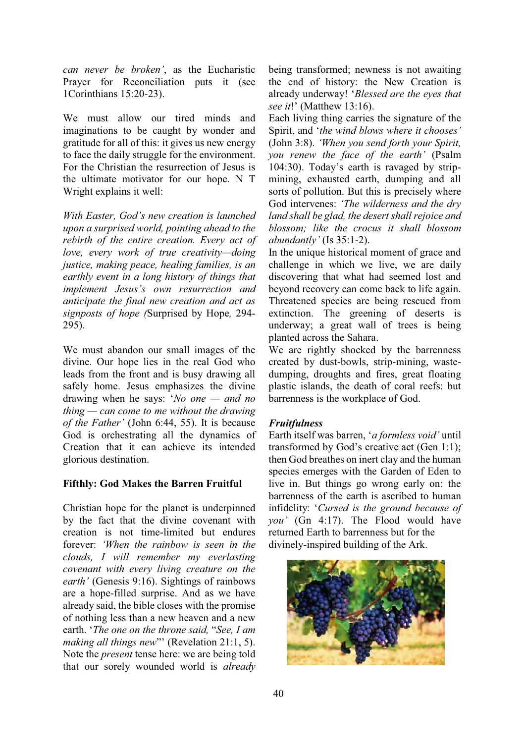*can never be broken'*, as the Eucharistic Prayer for Reconciliation puts it (see 1Corinthians 15:20-23).

We must allow our tired minds and imaginations to be caught by wonder and gratitude for all of this: it gives us new energy to face the daily struggle for the environment. For the Christian the resurrection of Jesus is the ultimate motivator for our hope. N T Wright explains it well:

*With Easter. God's new creation is launched upon a surprised world, pointing ahead to the rebirth of the entire creation. Every act of love, every work of true creativity-doing justice, making peace, healing families, is an earthly event in a long history of things that Implement Jesus's own resurrection and anticipate the final new creation and act as signposts of hope (*Surprised by Hope*,* 294- 295).

We must abandon our small images of the divine. Our hope lies in the real God who leads from the front and is busy drawing all safely home. Jesus emphasizes the divine drawing when he says: 'No one — and no  $\n *thing* — can come to me without the drawing\n$ *of the Father'* (John 6:44, 55). It is because God is orchestrating all the dynamics of Creation that it can achieve its intended glorious destination.

## **Fifthly: God Makes the Barren Fruitful**

Christian hope for the planet is underpinned by the fact that the divine covenant with creation is not time-limited but endures forever: 'When the rainbow is seen in the *clouds, I will remember my everlasting covenant with every living creature on the earth'* (Genesis 9:16). Sightings of rainbows are a hope-filled surprise. And as we have already said, the bible closes with the promise of nothing less than a new heaven and a new earth. 'The one on the throne said, "See, I am *making all things new*" (Revelation 21:1, 5). Note the *present* tense here: we are being told that our sorely wounded world is *already*  being transformed; newness is not awaiting the end of history: the New Creation is already underway! µ*Blessed are the eyes that see it!*' (Matthew 13:16).

Each living thing carries the signature of the Spirit, and 'the wind blows where it chooses' (John 3:8). *'When you send forth your Spirit, vou renew the face of the earth'* (Psalm 104:30). Today's earth is ravaged by stripmining, exhausted earth, dumping and all sorts of pollution. But this is precisely where God intervenes: 'The wilderness and the dry *land shall be glad, the desert shall rejoice and blossom; like the crocus it shall blossom abundantly'* (Is 35:1-2).

In the unique historical moment of grace and challenge in which we live, we are daily discovering that what had seemed lost and beyond recovery can come back to life again. Threatened species are being rescued from extinction. The greening of deserts is underway; a great wall of trees is being planted across the Sahara.

We are rightly shocked by the barrenness created by dust-bowls, strip-mining, wastedumping, droughts and fires, great floating plastic islands, the death of coral reefs: but barrenness is the workplace of God.

# *Fruitfulness*

Earth itself was barren, 'a formless void' until transformed by God's creative act (Gen 1:1); then God breathes on inert clay and the human species emerges with the Garden of Eden to live in. But things go wrong early on: the barrenness of the earth is ascribed to human infidelity: 'Cursed is the ground because of *you'* (Gn 4:17). The Flood would have returned Earth to barrenness but for the divinely-inspired building of the Ark.

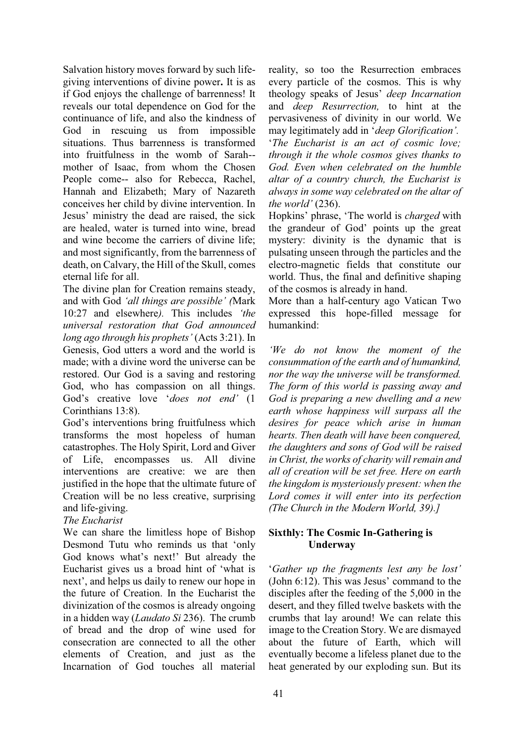Salvation history moves forward by such lifegiving interventions of divine power**.** It is as if God enjoys the challenge of barrenness! It reveals our total dependence on God for the continuance of life, and also the kindness of God in rescuing us from impossible situations. Thus barrenness is transformed into fruitfulness in the womb of Sarah- mother of Isaac, from whom the Chosen People come-- also for Rebecca, Rachel, Hannah and Elizabeth; Mary of Nazareth conceives her child by divine intervention. In Jesus' ministry the dead are raised, the sick are healed, water is turned into wine, bread and wine become the carriers of divine life; and most significantly, from the barrenness of death, on Calvary, the Hill of the Skull, comes eternal life for all.

The divine plan for Creation remains steady, and with God 'all things are possible' (Mark 10:27 and elsewhere). This includes 'the *universal restoration that God announced long ago through his prophets'* (Acts 3:21). In Genesis, God utters a word and the world is made; with a divine word the universe can be restored. Our God is a saving and restoring God, who has compassion on all things. God's creative love '*does not end'* (1) Corinthians 13:8).

God's interventions bring fruitfulness which transforms the most hopeless of human catastrophes. The Holy Spirit, Lord and Giver of Life, encompasses us. All divine interventions are creative: we are then justified in the hope that the ultimate future of Creation will be no less creative, surprising and life-giving.

# *The Eucharist*

We can share the limitless hope of Bishop Desmond Tutu who reminds us that 'only God knows what's next!' But already the Eucharist gives us a broad hint of 'what is next', and helps us daily to renew our hope in the future of Creation. In the Eucharist the divinization of the cosmos is already ongoing in a hidden way (*Laudato Si* 236). The crumb of bread and the drop of wine used for consecration are connected to all the other elements of Creation, and just as the Incarnation of God touches all material

reality, so too the Resurrection embraces every particle of the cosmos. This is why theology speaks of Jesus' deep Incarnation and *deep Resurrection,* to hint at the pervasiveness of divinity in our world. We may legitimately add in *'deep Glorification'*.

µ*The Eucharist is an act of cosmic love; through it the whole cosmos gives thanks to God. Even when celebrated on the humble altar of a country church, the Eucharist is always in some way celebrated on the altar of the world'* (236).

Hopkins' phrase, 'The world is *charged* with the grandeur of God' points up the great mystery: divinity is the dynamic that is pulsating unseen through the particles and the electro-magnetic fields that constitute our world. Thus, the final and definitive shaping of the cosmos is already in hand.

More than a half-century ago Vatican Two expressed this hope-filled message for humankind:

*iWe do not know the moment of the consummation of the earth and of humankind, nor the way the universe will be transformed. The form of this world is passing away and God is preparing a new dwelling and a new earth whose happiness will surpass all the desires for peace which arise in human hearts. Then death will have been conquered, the daughters and sons of God will be raised in Christ, the works of charity will remain and all of creation will be set free. Here on earth the kingdom is mysteriously present: when the Lord comes it will enter into its perfection (The Church in the Modern World, 39).]*

# **Sixthly: The Cosmic In-Gathering is Underway**

*'Gather up the fragments lest any be lost'* (John  $6:12$ ). This was Jesus' command to the disciples after the feeding of the 5,000 in the desert, and they filled twelve baskets with the crumbs that lay around! We can relate this image to the Creation Story. We are dismayed about the future of Earth, which will eventually become a lifeless planet due to the heat generated by our exploding sun. But its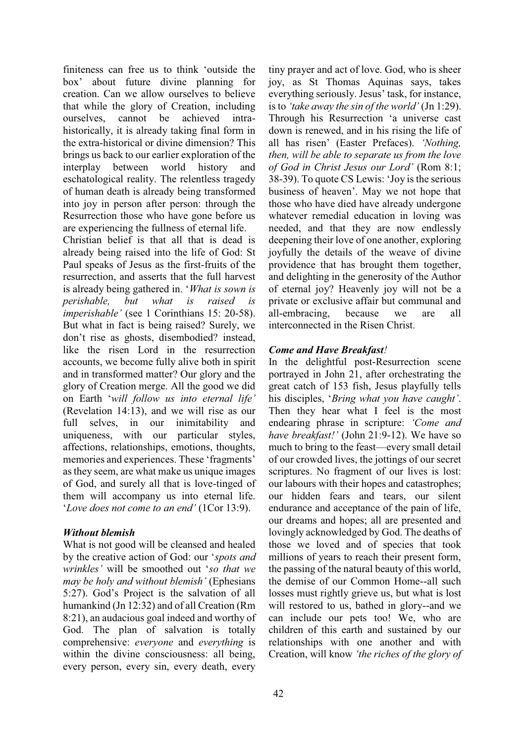finiteness can free us to think 'outside the box' about future divine planning for creation. Can we allow ourselves to believe that while the glory of Creation, including ourselves, cannot be achieved intrahistorically, it is already taking final form in the extra-historical or divine dimension? This brings us back to our earlier exploration of the interplay between world history and eschatological reality. The relentless tragedy of human death is already being transformed into joy in person after person: through the Resurrection those who have gone before us are experiencing the fullness of eternal life.

Christian belief is that all that is dead is already being raised into the life of God: St Paul speaks of Jesus as the first-fruits of the resurrection, and asserts that the full harvest is already being gathered in. 'What is sown is *perishable, but what is raised is imperishable'* (see 1 Corinthians 15: 20-58). But what in fact is being raised? Surely, we don't rise as ghosts, disembodied? instead, like the risen Lord in the resurrection accounts, we become fully alive both in spirit and in transformed matter? Our glory and the glory of Creation merge. All the good we did on Earth 'will follow us into eternal life' (Revelation 14:13), and we will rise as our full selves, in our inimitability and uniqueness, with our particular styles, affections, relationships, emotions, thoughts, memories and experiences. These 'fragments' as they seem, are what make us unique images of God, and surely all that is love-tinged of them will accompany us into eternal life. *Love does not come to an end'* (1Cor 13:9).

## *Without blemish*

What is not good will be cleansed and healed by the creative action of God: our 'spots and *wrinkles'* will be smoothed out 'so that we *PHAY Pholy and without blemish'* (Ephesians 5:27). God's Project is the salvation of all humankind (Jn 12:32) and of all Creation (Rm 8:21), an audacious goal indeed and worthy of God. The plan of salvation is totally comprehensive: *everyone* and *everything* is within the divine consciousness: all being, every person, every sin, every death, every tiny prayer and act of love. God, who is sheer joy, as St Thomas Aquinas says, takes everything seriously. Jesus' task, for instance, is to *'take away the sin of the world'* (Jn 1:29). Through his Resurrection 'a universe cast down is renewed, and in his rising the life of all has risen' (Easter Prefaces). 'Nothing, *then, will be able to separate us from the love of God in Christ Jesus our Lord'* (Rom 8:1;  $38-39$ ). To quote CS Lewis: 'Joy is the serious business of heaven'. May we not hope that those who have died have already undergone whatever remedial education in loving was needed, and that they are now endlessly deepening their love of one another, exploring joyfully the details of the weave of divine providence that has brought them together, and delighting in the generosity of the Author of eternal joy? Heavenly joy will not be a private or exclusive affair but communal and all-embracing, because we are all interconnected in the Risen Christ.

# *Come and Have Breakfast!*

In the delightful post-Resurrection scene portrayed in John 21, after orchestrating the great catch of 153 fish, Jesus playfully tells his disciples, *'Bring what you have caught'*. Then they hear what I feel is the most endearing phrase in scripture: *'Come and have breakfast!'* (John 21:9-12). We have so much to bring to the feast—every small detail of our crowded lives, the jottings of our secret scriptures. No fragment of our lives is lost: our labours with their hopes and catastrophes; our hidden fears and tears, our silent endurance and acceptance of the pain of life, our dreams and hopes; all are presented and lovingly acknowledged by God. The deaths of those we loved and of species that took millions of years to reach their present form, the passing of the natural beauty of this world, the demise of our Common Home--all such losses must rightly grieve us, but what is lost will restored to us, bathed in glory--and we can include our pets too! We, who are children of this earth and sustained by our relationships with one another and with Creation, will know *'the riches of the glory of*